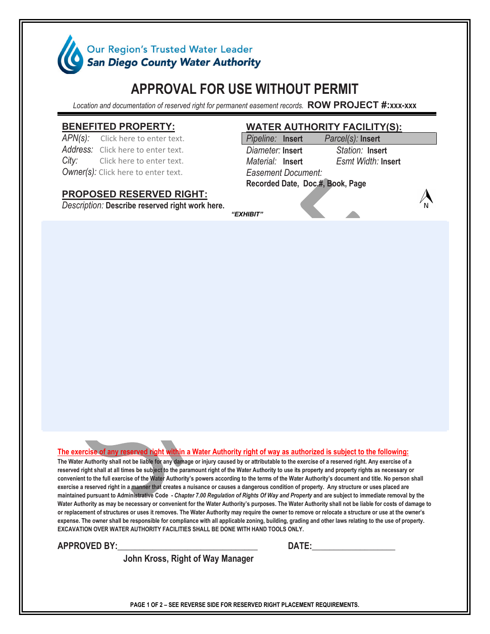

# **APPROVAL FOR USE WITHOUT PERMIT**

*Location and documentation of reserved right for permanent easement records.* **ROW PROJECT #:xxx-xxx**

#### **BENEFITED PROPERTY:**

APN(s): Click here to enter text. *Address:* Click here to enter text. *City:* Click here to enter text. *Owner(s):* Click here to enter text.

## **PROPOSED RESERVED RIGHT:**

*Description:* **Describe reserved right work here.**

## **WATER AUTHORITY FACILITY(S):**

| Pipeline: Insert                 | Parcel(s): Insert         |  |
|----------------------------------|---------------------------|--|
| Diameter: Insert                 | Station: Insert           |  |
| Material: Insert                 | <b>Esmt Width: Insert</b> |  |
| Easement Document:               |                           |  |
| Recorded Date, Doc.#, Book, Page |                           |  |
|                                  |                           |  |

*"EXHIBIT"*

#### **The exercise of any reserved right within a Water Authority right of way as authorized is subject to the following:**

**The Water Authority shall not be liable for any damage or injury caused by or attributable to the exercise of a reserved right. Any exercise of a reserved right shall at all times be subject to the paramount right of the Water Authority to use its property and property rights as necessary or convenient to the full exercise of the Water Authority's powers according to the terms of the Water Authority's document and title. No person shall exercise a reserved right in a manner that creates a nuisance or causes a dangerous condition of property. Any structure or uses placed are maintained pursuant to Administrative Code -** *Chapter 7.00 Regulation of Rights Of Way and Property* **and are subject to immediate removal by the Water Authority as may be necessary or convenient for the Water Authority's purposes. The Water Authority shall not be liable for costs of damage to or replacement of structures or uses it removes. The Water Authority may require the owner to remove or relocate a structure or use at the owner's expense. The owner shall be responsible for compliance with all applicable zoning, building, grading and other laws relating to the use of property. EXCAVATION OVER WATER AUTHORITY FACILITIES SHALL BE DONE WITH HAND TOOLS ONLY.**

**APPROVED BY:\_\_\_\_\_\_\_\_\_\_\_\_\_\_\_\_\_\_\_\_\_\_\_\_\_\_\_\_\_\_\_\_ DATE:\_\_\_\_\_\_\_\_\_\_\_\_\_\_\_\_\_\_\_**

 **John Kross, Right of Way Manager**

**PAGE 1 OF 2 – SEE REVERSE SIDE FOR RESERVED RIGHT PLACEMENT REQUIREMENTS.**